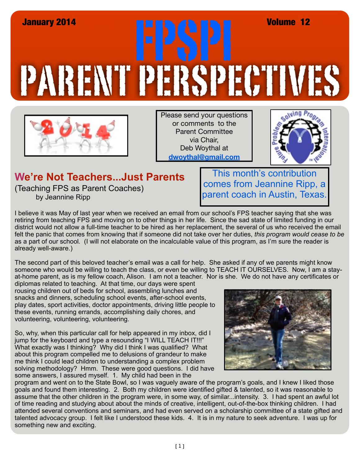## PARENT PERSPECTIVES January 2014<br>**FRANCIS CONTROLLER CONTROLLER** Volume 12



Please send your questions or comments to the Parent Committee via Chair, Deb Woythal at **dwoythal@gmail.com**



## **We're Not Teachers...Just Parents**

(Teaching FPS as Parent Coaches) by Jeannine Ripp

This month's contribution comes from Jeannine Ripp, a parent coach in Austin, Texas.

I believe it was May of last year when we received an email from our school's FPS teacher saying that she was retiring from teaching FPS and moving on to other things in her life. Since the sad state of limited funding in our district would not allow a full-time teacher to be hired as her replacement, the several of us who received the email felt the panic that comes from knowing that if someone did not take over her duties, *this program would cease to be* as a part of our school*.* (I will not elaborate on the incalculable value of this program, as I'm sure the reader is already well-aware.)

The second part of this beloved teacher's email was a call for help. She asked if any of we parents might know someone who would be willing to teach the class, or even be willing to TEACH IT OURSELVES. Now, I am a stayat-home parent, as is my fellow coach, Alison. I am not a teacher. Nor is she. We do not have any certificates or

diplomas related to teaching. At that time, our days were spent rousing children out of beds for school, assembling lunches and snacks and dinners, scheduling school events, after-school events, play dates, sport activities, doctor appointments, driving little people to these events, running errands, accomplishing daily chores, and volunteering, volunteering, volunteering.

So, why, when this particular call for help appeared in my inbox, did I jump for the keyboard and type a resounding "I WILL TEACH IT!!!" What exactly was I thinking? Why did I think I was qualified? What about this program compelled me to delusions of grandeur to make me think I could lead children to understanding a complex problem solving methodology? Hmm. These were good questions. I did have some answers, I assured myself. 1. My child had been in the



program and went on to the State Bowl, so I was vaguely aware of the program's goals, and I knew I liked those goals and found them interesting. 2. Both my children were identified gifted & talented, so it was reasonable to assume that the other children in the program were, in some way, of similar...intensity. 3. I had spent an awful lot of time reading and studying about about the minds of creative, intelligent, out-of-the-box thinking children. I had attended several conventions and seminars, and had even served on a scholarship committee of a state gifted and talented advocacy group. I felt like I understood these kids. 4. It is in my nature to seek adventure. I was up for something new and exciting.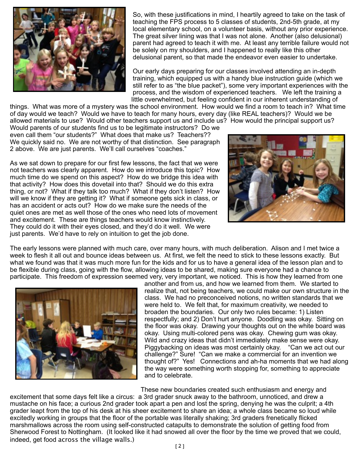

So, with these justifications in mind, I heartily agreed to take on the task of teaching the FPS process to 5 classes of students, 2nd-5th grade, at my local elementary school, on a volunteer basis, without any prior experience. The great silver lining was that I was not alone. Another (also delusional) parent had agreed to teach it with me. At least any terrible failure would not be solely on my shoulders, and I happened to really like this other delusional parent, so that made the endeavor even easier to undertake.

Our early days preparing for our classes involved attending an in-depth training, which equipped us with a handy blue instruction guide (which we still refer to as "the blue packet"), some very important experiences with the process, and the wisdom of experienced teachers. We left the training a little overwhelmed, but feeling confident in our inherent understanding of

things. What was more of a mystery was the school environment. How would we find a room to teach in? What time of day would we teach? Would we have to teach for many hours, every day (like REAL teachers)? Would we be allowed materials to use? Would other teachers support us and include us? How would the principal support us?

Would parents of our students find us to be legitimate instructors? Do we even call them "our students?" What does that make us? Teachers?? We quickly said no. We are not worthy of that distinction. See paragraph 2 above. We are just parents. We'll call ourselves "coaches."

As we sat down to prepare for our first few lessons, the fact that we were not teachers was clearly apparent. How do we introduce this topic? How much time do we spend on this aspect? How do we bridge this idea with that activity? How does this dovetail into that? Should we do this extra thing, or not? What if they talk too much? What if they don't listen? How will we know if they are getting it? What if someone gets sick in class, or has an accident or acts out? How do we make sure the needs of the quiet ones are met as well those of the ones who need lots of movement and excitement. These are things teachers would know instinctively. They could do it with their eyes closed, and they'd do it well. We were just parents. We'd have to rely on intuition to get the job done.



The early lessons were planned with much care, over many hours, with much deliberation. Alison and I met twice a week to flesh it all out and bounce ideas between us. At first, we felt the need to stick to these lessons exactly. But what we found was that it was much more fun for the kids and for us to have a general idea of the lesson plan and to be flexible during class, going with the flow, allowing ideas to be shared, making sure everyone had a chance to participate. This freedom of expression seemed very, very important, we noticed. This is how they learned from one



another and from us, and how we learned from them. We started to realize that, not being teachers, we could make our own structure in the class. We had no preconceived notions, no written standards that we were held to. We felt that, for maximum creativity, we needed to broaden the boundaries. Our only two rules became: 1) Listen respectfully; and 2) Don't hurt anyone. Doodling was okay. Sitting on the floor was okay. Drawing your thoughts out on the white board was okay. Using multi-colored pens was okay. Chewing gum was okay. Wild and crazy ideas that didn't immediately make sense were okay. Piggybacking on ideas was most certainly okay. "Can we act out our challenge?" Sure! "Can we make a commercial for an invention we thought of?" Yes! Connections and ah-ha moments that we had along the way were something worth stopping for, something to appreciate and to celebrate.

These new boundaries created such enthusiasm and energy and excitement that some days felt like a circus: a 3rd grader snuck away to the bathroom, unnoticed, and drew a mustache on his face; a curious 2nd grader took apart a pen and lost the spring, denying he was the culprit; a 4th grader leapt from the top of his desk at his sheer excitement to share an idea; a whole class became so loud while excitedly working in groups that the floor of the portable was literally shaking; 3rd graders frenetically flicked marshmallows across the room using self-constructed catapults to demonstrate the solution of getting food from Sherwood Forest to Nottingham. (It looked like it had snowed all over the floor by the time we proved that we could, indeed, get food across the village walls.)